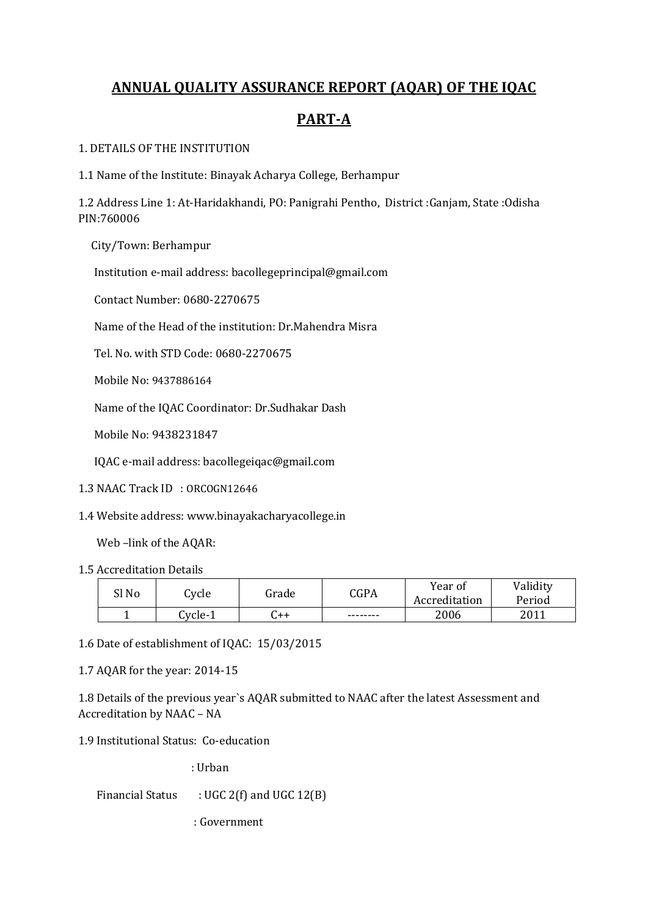# **ANNUAL QUALITY ASSURANCE REPORT (AQAR) OF THE IQAC**

# **PARTA**

#### 1. DETAILS OF THE INSTITUTION

1.1 Name of the Institute: Binayak Acharya College, Berhampur

1.2 Address Line 1: At‐Haridakhandi, PO: Panigrahi Pentho, District :Ganjam, State :Odisha PIN:760006

City/Town: Berhampur

Institution e‐mail address: bacollegeprincipal@gmail.com

Contact Number: 0680‐2270675

Name of the Head of the institution: Dr.Mahendra Misra

Tel. No. with STD Code: 0680‐2270675

Mobile No: 9437886164

Name of the IQAC Coordinator: Dr.Sudhakar Dash

Mobile No: 9438231847

IQAC e‐mail address: bacollegeiqac@gmail.com

- 1.3 NAAC Track ID : ORCOGN12646
- 1.4 Website address: www.binayakacharyacollege.in

Web –link of the AQAR:

1.5 Accreditation Details

| Sl No | Cycle   | Grade | CGPA     | Year of<br>Accreditation | Validity<br>Period |
|-------|---------|-------|----------|--------------------------|--------------------|
|       | Cycle-1 | ++ن   | -------- | 2006                     | 2011               |

1.6 Date of establishment of IQAC: 15/03/2015

1.7 AQAR for the year: 2014‐15

1.8 Details of the previous year`s AQAR submitted to NAAC after the latest Assessment and Accreditation by NAAC – NA

1.9 Institutional Status: Co-education

: Urban

Financial Status  $\therefore$  UGC 2(f) and UGC 12(B)

: Government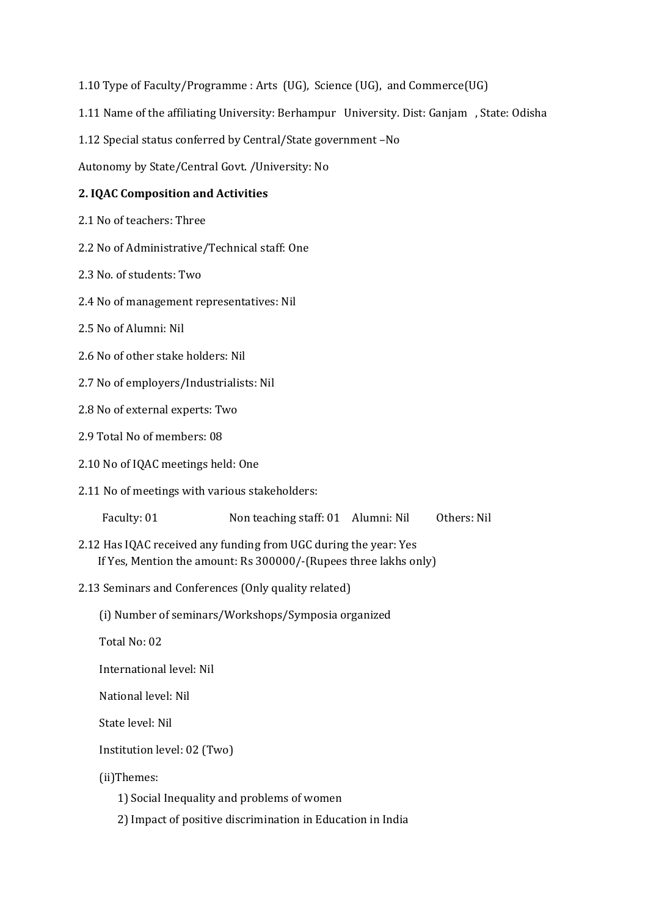- 1.10 Type of Faculty/Programme : Arts (UG), Science (UG), and Commerce(UG)
- 1.11 Name of the affiliating University: Berhampur University. Dist: Ganjam , State: Odisha
- 1.12 Special status conferred by Central/State government –No

Autonomy by State/Central Govt. /University: No

#### **2. IQAC Composition and Activities**

- 2.1 No of teachers: Three
- 2.2 No of Administrative/Technical staff: One
- 2.3 No. of students: Two
- 2.4 No of management representatives: Nil
- 2.5 No of Alumni: Nil
- 2.6 No of other stake holders: Nil
- 2.7 No of employers/Industrialists: Nil
- 2.8 No of external experts: Two
- 2.9 Total No of members: 08
- 2.10 No of IQAC meetings held: One
- 2.11 No of meetings with various stakeholders:

| Faculty: 01<br>Non teaching staff: 01 Alumni: Nil | Others: Nil |
|---------------------------------------------------|-------------|
|---------------------------------------------------|-------------|

- 2.12 Has IQAC received any funding from UGC during the year: Yes If Yes, Mention the amount: Rs 300000/‐(Rupees three lakhs only)
- 2.13 Seminars and Conferences (Only quality related)
	- (i) Number of seminars/Workshops/Symposia organized
	- Total No: 02

International level: Nil

National level: Nil

State level: Nil

Institution level: 02 (Two)

(ii)Themes:

- 1) Social Inequality and problems of women
- 2) Impact of positive discrimination in Education in India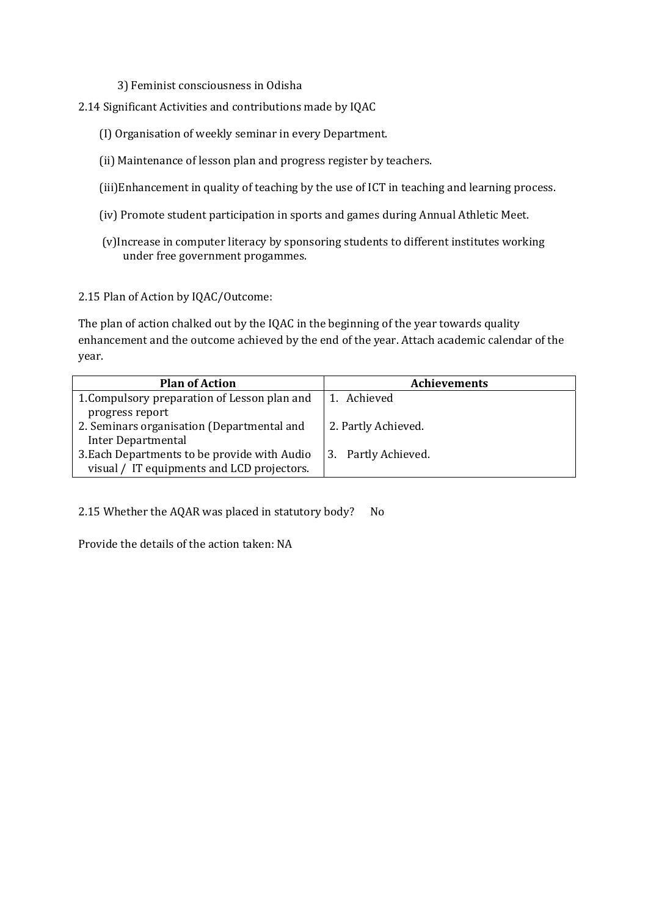- 3) Feminist consciousness in Odisha
- 2.14 Significant Activities and contributions made by IQAC
	- (I) Organisation of weekly seminar in every Department.
	- (ii) Maintenance of lesson plan and progress register by teachers.
	- (iii)Enhancement in quality of teaching by the use of ICT in teaching and learning process.
	- (iv) Promote student participation in sports and games during Annual Athletic Meet.
	- (v)Increase in computer literacy by sponsoring students to different institutes working under free government progammes.

2.15 Plan of Action by IQAC/Outcome:

The plan of action chalked out by the IQAC in the beginning of the year towards quality enhancement and the outcome achieved by the end of the year. Attach academic calendar of the year.

| <b>Plan of Action</b>                        | <b>Achievements</b> |
|----------------------------------------------|---------------------|
| 1. Compulsory preparation of Lesson plan and | 1. Achieved         |
| progress report                              |                     |
| 2. Seminars organisation (Departmental and   | 2. Partly Achieved. |
| <b>Inter Departmental</b>                    |                     |
| 3. Each Departments to be provide with Audio | 3. Partly Achieved. |
| visual / IT equipments and LCD projectors.   |                     |

2.15 Whether the AQAR was placed in statutory body? No

Provide the details of the action taken: NA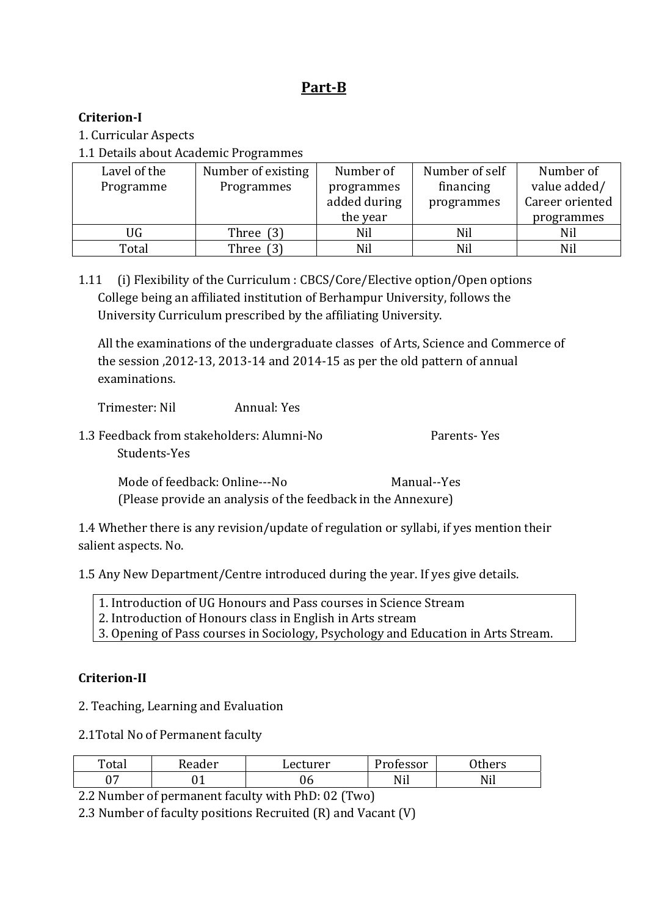# Part<sup>-B</sup>

## **CriterionI**

- 1. Curricular Aspects
- 1.1 Details about Academic Programmes

| Lavel of the | Number of existing | Number of    | Number of self | Number of       |
|--------------|--------------------|--------------|----------------|-----------------|
| Programme    | Programmes         |              | financing      | value added/    |
|              |                    | added during | programmes     | Career oriented |
|              |                    | the year     |                | programmes      |
| UG           | Three $(3)$        | Nil          | Nil            | Nil             |
| Total        | Three              | Nil          | Nil            | Nil             |

1.11 (i) Flexibility of the Curriculum : CBCS/Core/Elective option/Open options College being an affiliated institution of Berhampur University, follows the University Curriculum prescribed by the affiliating University.

All the examinations of the undergraduate classes of Arts, Science and Commerce of the session ,2012‐13, 2013‐14 and 2014‐15 as per the old pattern of annual examinations.

Trimester: Nil Annual: Yes

1.3 Feedback from stakeholders: Alumni‐No Parents‐ Yes Students‐Yes

 Mode of feedback: Online‐‐‐No Manual‐‐Yes (Please provide an analysis of the feedback in the Annexure)

1.4 Whether there is any revision/update of regulation or syllabi, if yes mention their salient aspects. No.

1.5 Any New Department/Centre introduced during the year. If yes give details.

1. Introduction of UG Honours and Pass courses in Science Stream

- 2. Introduction of Honours class in English in Arts stream
- 3. Opening of Pass courses in Sociology, Psychology and Education in Arts Stream.

## **CriterionII**

2. Teaching, Learning and Evaluation

2.1Total No of Permanent faculty

| Total | Reader | Lecturer | D.<br>Professor | Others |
|-------|--------|----------|-----------------|--------|
| ∼     | ັ້     | J6.      | Nil             | Nil    |

2.2 Number of permanent faculty with PhD: 02 (Two)

2.3 Number of faculty positions Recruited (R) and Vacant (V)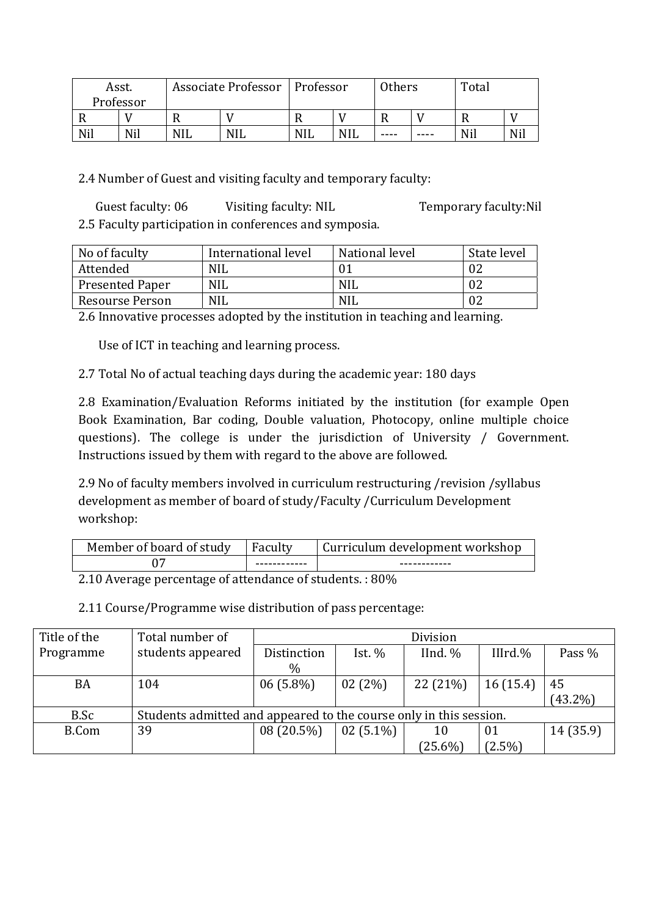| Asst.     |     |            | Associate Professor   Professor | Others     |            |      | Total |     |  |
|-----------|-----|------------|---------------------------------|------------|------------|------|-------|-----|--|
| Professor |     |            |                                 |            |            |      |       |     |  |
|           |     |            |                                 |            |            |      |       |     |  |
| Nil       | Nil | <b>NIL</b> | <b>NIL</b>                      | <b>NIL</b> | <b>NIL</b> | ---- | ----  | Nil |  |

2.4 Number of Guest and visiting faculty and temporary faculty:

 Guest faculty: 06 Visiting faculty: NIL Temporary faculty:Nil 2.5 Faculty participation in conferences and symposia.

| No of faculty          | International level | National level | State level |
|------------------------|---------------------|----------------|-------------|
| Attended               | <b>NIL</b>          |                |             |
| <b>Presented Paper</b> | <b>NIL</b>          | <b>NIL</b>     |             |
| Resourse Person        | <b>NIL</b>          | NII.           |             |

2.6 Innovative processes adopted by the institution in teaching and learning.

Use of ICT in teaching and learning process.

2.7 Total No of actual teaching days during the academic year: 180 days

2.8 Examination/Evaluation Reforms initiated by the institution (for example Open Book Examination, Bar coding, Double valuation, Photocopy, online multiple choice questions). The college is under the jurisdiction of University / Government. Instructions issued by them with regard to the above are followed.

2.9 No of faculty members involved in curriculum restructuring /revision /syllabus development as member of board of study/Faculty /Curriculum Development workshop:

| Member of board of study | Faculty      | Curriculum development workshop |
|--------------------------|--------------|---------------------------------|
|                          | ------------ | ------------                    |

2.10 Average percentage of attendance of students. : 80%

2.11 Course/Programme wise distribution of pass percentage:

| Title of the | Total number of                                                    |             |             | Division   |             |            |
|--------------|--------------------------------------------------------------------|-------------|-------------|------------|-------------|------------|
| Programme    | students appeared                                                  | Distinction | Ist. $%$    | IInd. %    | III $rd.\%$ | Pass %     |
|              |                                                                    | $\%$        |             |            |             |            |
| BA           | 104                                                                | $06(5.8\%)$ | 02(2%)      | 22 (21%)   | 16(15.4)    | 45         |
|              |                                                                    |             |             |            |             | $(43.2\%)$ |
| B.Sc         | Students admitted and appeared to the course only in this session. |             |             |            |             |            |
| <b>B.Com</b> | 39                                                                 | 08 (20.5%)  | $02(5.1\%)$ | 10         | 01          | 14(35.9)   |
|              |                                                                    |             |             | $(25.6\%)$ | $(2.5\%)$   |            |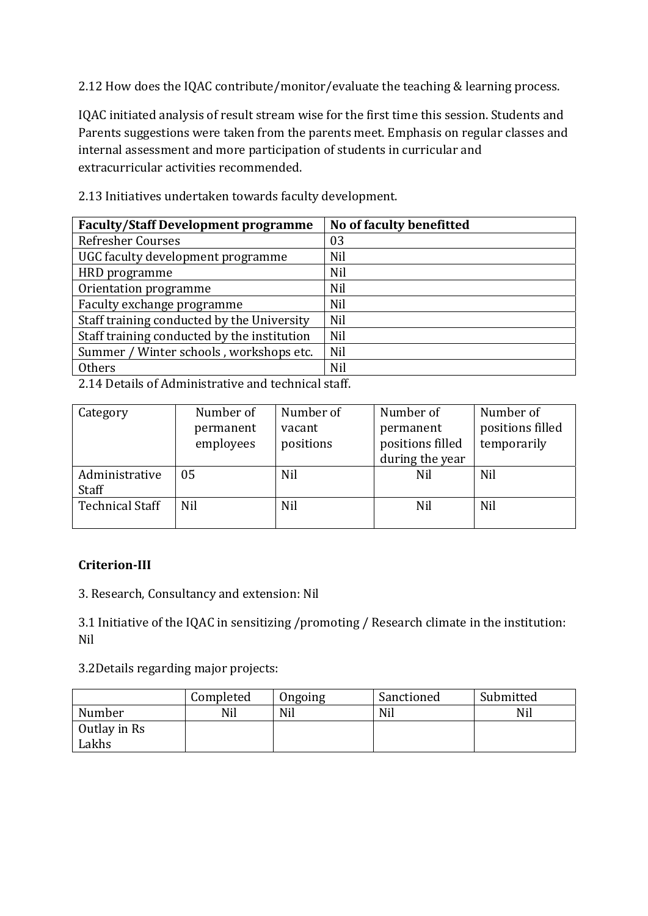2.12 How does the IQAC contribute/monitor/evaluate the teaching & learning process.

IQAC initiated analysis of result stream wise for the first time this session. Students and Parents suggestions were taken from the parents meet. Emphasis on regular classes and internal assessment and more participation of students in curricular and extracurricular activities recommended.

| <b>Faculty/Staff Development programme</b>  | No of faculty benefitted |
|---------------------------------------------|--------------------------|
| <b>Refresher Courses</b>                    | 03                       |
| UGC faculty development programme           | <b>Nil</b>               |
| HRD programme                               | <b>Nil</b>               |
| Orientation programme                       | <b>Nil</b>               |
| Faculty exchange programme                  | Nil                      |
| Staff training conducted by the University  | Nil                      |
| Staff training conducted by the institution | Nil                      |
| Summer / Winter schools, workshops etc.     | Nil                      |
| Others                                      | <b>Nil</b>               |
|                                             |                          |

2.13 Initiatives undertaken towards faculty development.

2.14 Details of Administrative and technical staff.

| Number of  | Number of | Number of        | Number of        |
|------------|-----------|------------------|------------------|
| permanent  | vacant    | permanent        | positions filled |
| employees  | positions | positions filled | temporarily      |
|            |           | during the year  |                  |
| 05         | Nil       | Nil              | Nil              |
|            |           |                  |                  |
| <b>Nil</b> | Nil       | Nil              | Nil              |
|            |           |                  |                  |
|            |           |                  |                  |

## **CriterionIII**

3. Research, Consultancy and extension: Nil

3.1 Initiative of the IQAC in sensitizing /promoting / Research climate in the institution: Nil

3.2Details regarding major projects:

|              | Completed | Ongoing | Sanctioned | Submitted |
|--------------|-----------|---------|------------|-----------|
| Number       | Nil       | Nil     | Nil        | Nil       |
| Outlay in Rs |           |         |            |           |
| Lakhs        |           |         |            |           |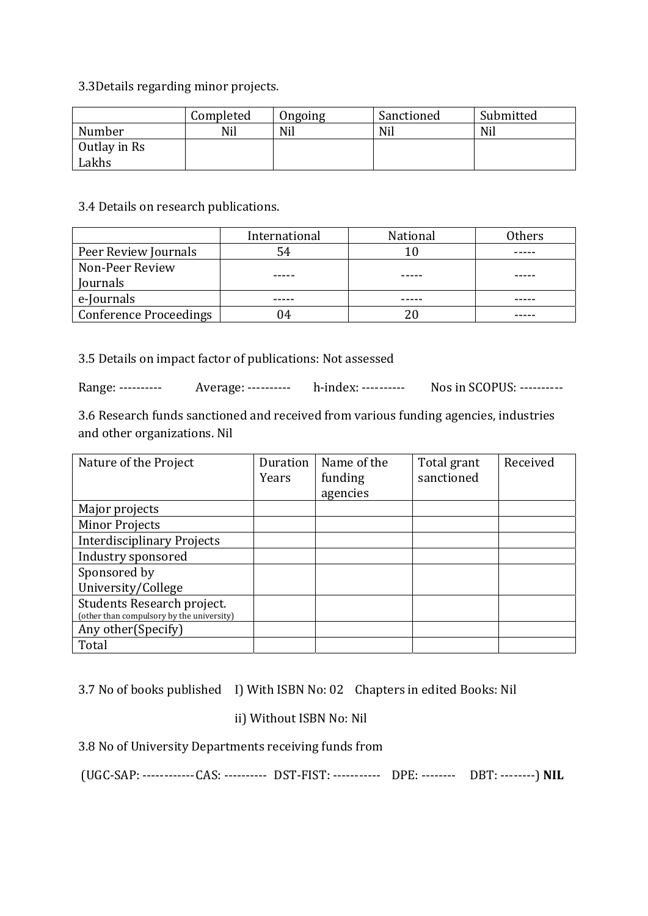3.3Details regarding minor projects.

|              | Completed | Ongoing | Sanctioned | Submitted |
|--------------|-----------|---------|------------|-----------|
| Number       | Nil       | Nil     | Nil        | Nil       |
| Outlay in Rs |           |         |            |           |
| Lakhs        |           |         |            |           |

#### 3.4 Details on research publications.

|                               | International | National | Others |
|-------------------------------|---------------|----------|--------|
| Peer Review Journals          | 54            |          |        |
| Non-Peer Review               |               |          |        |
| Journals                      |               |          |        |
| e-Journals                    |               |          |        |
| <b>Conference Proceedings</b> |               |          |        |

3.5 Details on impact factor of publications: Not assessed

Range: ---------- Average: ---------- h-index: ---------- Nos in SCOPUS: ----------

3.6 Research funds sanctioned and received from various funding agencies, industries and other organizations. Nil

| Nature of the Project                                                   | Duration<br>Years | Name of the<br>funding<br>agencies | Total grant<br>sanctioned | Received |
|-------------------------------------------------------------------------|-------------------|------------------------------------|---------------------------|----------|
|                                                                         |                   |                                    |                           |          |
| Major projects                                                          |                   |                                    |                           |          |
| <b>Minor Projects</b>                                                   |                   |                                    |                           |          |
| <b>Interdisciplinary Projects</b>                                       |                   |                                    |                           |          |
| Industry sponsored                                                      |                   |                                    |                           |          |
| Sponsored by                                                            |                   |                                    |                           |          |
| University/College                                                      |                   |                                    |                           |          |
| Students Research project.<br>(other than compulsory by the university) |                   |                                    |                           |          |
| Any other (Specify)                                                     |                   |                                    |                           |          |
| Total                                                                   |                   |                                    |                           |          |

3.7 No of books published I) With ISBN No: 02 Chapters in edited Books: Nil

## ii) Without ISBN No: Nil

3.8 No of University Departments receiving funds from

(UGC‐SAP: ‐‐‐‐‐‐‐‐‐‐‐‐ CAS: ‐‐‐‐‐‐‐‐‐‐ DST‐FIST: ‐‐‐‐‐‐‐‐‐‐‐ DPE: ‐‐‐‐‐‐‐‐ DBT: ‐‐‐‐‐‐‐‐) **NIL**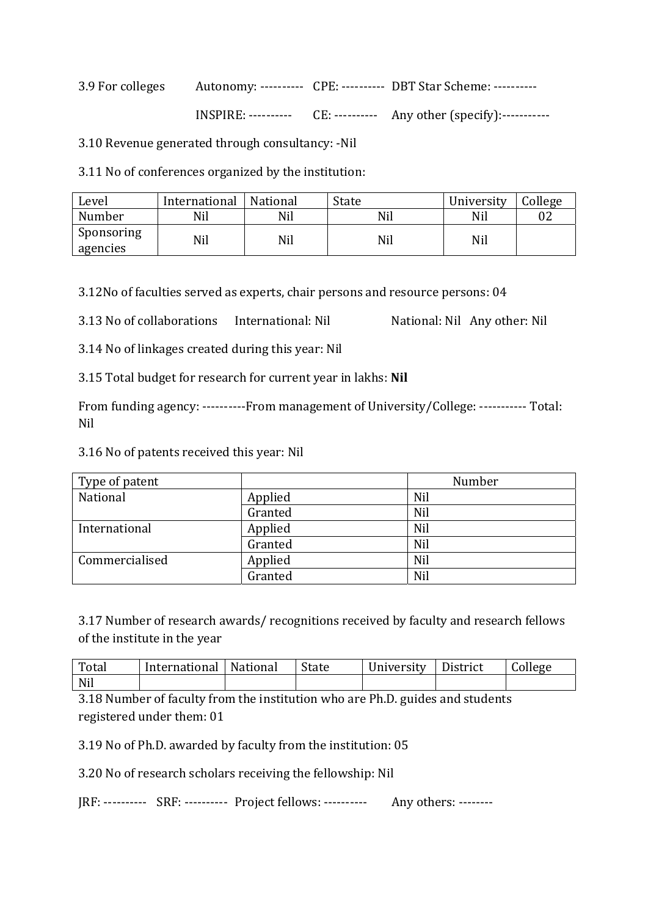3.9 For colleges Autonomy: ---------- CPE: ---------- DBT Star Scheme: --------- $INSPIRE:$  ----------  $CE:$  ---------- Any other (specify):------------

3.10 Revenue generated through consultancy: ‐Nil

3.11 No of conferences organized by the institution:

| Level                  | International | National | State | University | College |
|------------------------|---------------|----------|-------|------------|---------|
| Number                 | Nil           | Nil      | Nil   | Nil        | 02      |
| Sponsoring<br>agencies | Nil           | Nil      | Nil   | Nil        |         |

3.12No of faculties served as experts, chair persons and resource persons: 04

3.13 No of collaborations International: Nil National: Nil Any other: Nil

3.14 No of linkages created during this year: Nil

3.15 Total budget for research for current year in lakhs: **Nil**

From funding agency: ----------From management of University/College: ----------- Total: Nil

3.16 No of patents received this year: Nil

| Type of patent |         | Number |
|----------------|---------|--------|
| National       | Applied | Nil    |
|                | Granted | Nil    |
| International  | Applied | Nil    |
|                | Granted | Nil    |
| Commercialised | Applied | Nil    |
|                | Granted | Nil    |

3.17 Number of research awards/ recognitions received by faculty and research fellows of the institute in the year

| Total | International   National | State | University | District | College |
|-------|--------------------------|-------|------------|----------|---------|
| Nil   |                          |       |            |          |         |

3.18 Number of faculty from the institution who are Ph.D. guides and students registered under them: 01

3.19 No of Ph.D. awarded by faculty from the institution: 05

3.20 No of research scholars receiving the fellowship: Nil

JRF: --------- SRF: --------- Project fellows: --------- Any others: -------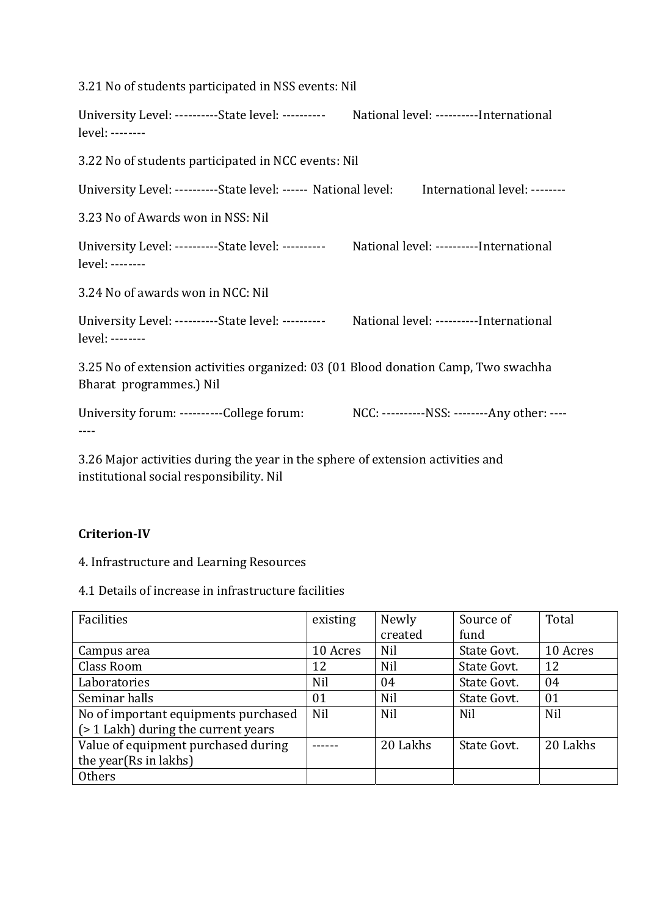| 3.21 No of students participated in NSS events: Nil                                                            |                                             |
|----------------------------------------------------------------------------------------------------------------|---------------------------------------------|
| University Level: ----------State level: ---------- National level: ----------International<br>level: -------- |                                             |
| 3.22 No of students participated in NCC events: Nil                                                            |                                             |
| University Level: ----------State level: ------ National level:                                                | International level: --------               |
| 3.23 No of Awards won in NSS: Nil                                                                              |                                             |
| University Level: ----------State level: ---------- National level: ----------International<br>level: -------- |                                             |
| 3.24 No of awards won in NCC: Nil                                                                              |                                             |
| University Level: ----------State level: ---------- National level: ----------International<br>level: -------- |                                             |
| 3.25 No of extension activities organized: 03 (01 Blood donation Camp, Two swachha<br>Bharat programmes.) Nil  |                                             |
| University forum: ----------College forum:                                                                     | NCC: ----------NSS: --------Any other: ---- |

3.26 Major activities during the year in the sphere of extension activities and institutional social responsibility. Nil

## **CriterionIV**

4. Infrastructure and Learning Resources

4.1 Details of increase in infrastructure facilities

| Facilities                           | existing   | Newly      | Source of   | Total    |
|--------------------------------------|------------|------------|-------------|----------|
|                                      |            | created    | fund        |          |
| Campus area                          | 10 Acres   | <b>Nil</b> | State Govt. | 10 Acres |
| Class Room                           | 12         | Nil        | State Govt. | 12       |
| Laboratories                         | Nil        | 04         | State Govt. | 04       |
| Seminar halls                        | 01         | Nil        | State Govt. | 01       |
| No of important equipments purchased | <b>Nil</b> | Nil        | Nil         | Nil      |
| (> 1 Lakh) during the current years  |            |            |             |          |
| Value of equipment purchased during  |            | 20 Lakhs   | State Govt. | 20 Lakhs |
| the year(Rs in lakhs)                |            |            |             |          |
| Others                               |            |            |             |          |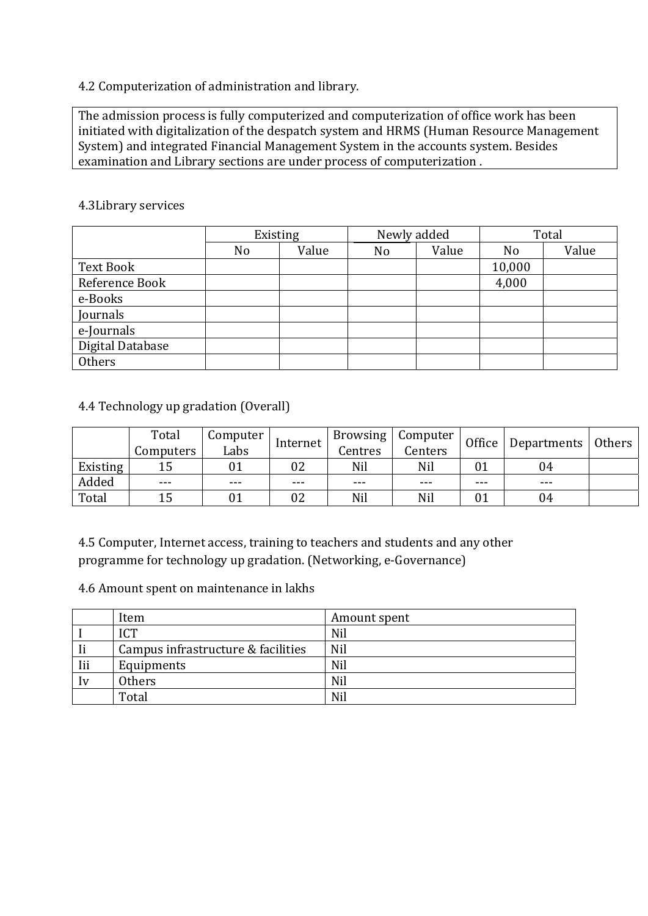## 4.2 Computerization of administration and library.

The admission process is fully computerized and computerization of office work has been initiated with digitalization of the despatch system and HRMS (Human Resource Management System) and integrated Financial Management System in the accounts system. Besides examination and Library sections are under process of computerization .

#### 4.3Library services

|                  | Existing       |       | Newly added |       | Total          |       |
|------------------|----------------|-------|-------------|-------|----------------|-------|
|                  | N <sub>o</sub> | Value | No          | Value | N <sub>o</sub> | Value |
| Text Book        |                |       |             |       | 10,000         |       |
| Reference Book   |                |       |             |       | 4,000          |       |
| e-Books          |                |       |             |       |                |       |
| Journals         |                |       |             |       |                |       |
| e-Journals       |                |       |             |       |                |       |
| Digital Database |                |       |             |       |                |       |
| Others           |                |       |             |       |                |       |

## 4.4 Technology up gradation (Overall)

|          | Total<br>Computers | computer<br>Labs | Internet | Centres | Browsing   Computer<br>Centers | Office | Departments   Others |  |
|----------|--------------------|------------------|----------|---------|--------------------------------|--------|----------------------|--|
| Existing |                    |                  | 02       | Nil     | Nil                            |        | 04                   |  |
| Added    | ---                | ---              | ---      | ---     | ---                            | ---    | ---                  |  |
| Total    | 15                 |                  | 02       | Nil     | Nil                            | 01     | 04                   |  |

4.5 Computer, Internet access, training to teachers and students and any other programme for technology up gradation. (Networking, e‐Governance)

#### 4.6 Amount spent on maintenance in lakhs

|            | Item                               | Amount spent |
|------------|------------------------------------|--------------|
|            | <b>ICT</b>                         | Nil          |
| - Ii       | Campus infrastructure & facilities | Nil          |
| <b>Iii</b> | Equipments                         | Nil          |
| $I_{V}$    | <b>Others</b>                      | Nil          |
|            | Total                              | Nil          |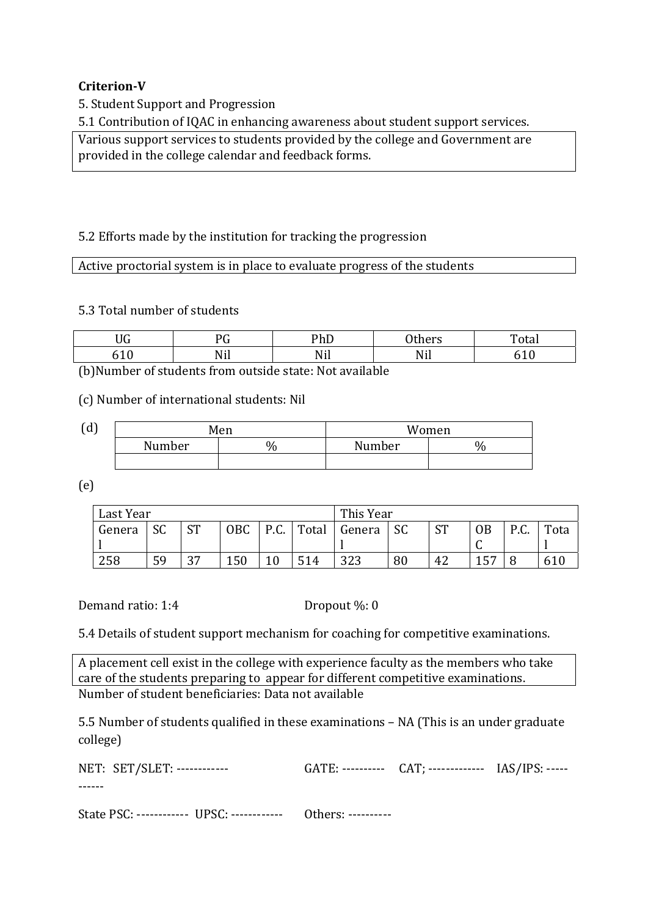### **CriterionV**

5. Student Support and Progression

5.1 Contribution of IQAC in enhancing awareness about student support services.

Various support services to students provided by the college and Government are provided in the college calendar and feedback forms.

#### 5.2 Efforts made by the institution for tracking the progression

Active proctorial system is in place to evaluate progress of the students

5.3 Total number of students

| <b>TTO</b>        | nr                        | DL F              | $\sim$ $\sim$             | $\mathbf{m}$ |
|-------------------|---------------------------|-------------------|---------------------------|--------------|
| JU                | ◡                         | TIL               | ulle 19                   | 'ldi         |
| - 4<br>$\sqrt{2}$ | . <del>.</del> . 1<br>,,, | <b>. 1</b><br>,,, | $\cdot$ .<br>N<br>1 V 1 1 |              |

(b)Number of students from outside state: Not available

(c) Number of international students: Nil

| (d) |        | Men | Women  |      |  |
|-----|--------|-----|--------|------|--|
|     | Number | ₩   | Number | $\%$ |  |
|     |        |     |        |      |  |

(e)

| Last Year |           |      |            | This Year |       |        |      |           |           |                    |      |
|-----------|-----------|------|------------|-----------|-------|--------|------|-----------|-----------|--------------------|------|
| Genera    | <b>SC</b> | CТ   | <b>OBC</b> | P.C.      | Total | Genera | - SC | <b>ST</b> | <b>OB</b> | $D \cap C$<br>r.u. | Tota |
|           |           |      |            |           |       |        |      |           |           |                    |      |
| 258       | 59        | רי ר | 150        | 10        | 514   | 323    | 80   | 42        | 157       | U                  |      |

Demand ratio: 1:4 Dropout %: 0

5.4 Details of student support mechanism for coaching for competitive examinations.

A placement cell exist in the college with experience faculty as the members who take care of the students preparing to appear for different competitive examinations. Number of student beneficiaries: Data not available

5.5 Number of students qualified in these examinations – NA (This is an under graduate college)

| NET: SET/SLET: ------------- | GATE: ---------- CAT: ------------- IAS/IPS: ----- |  |
|------------------------------|----------------------------------------------------|--|
|                              |                                                    |  |
|                              |                                                    |  |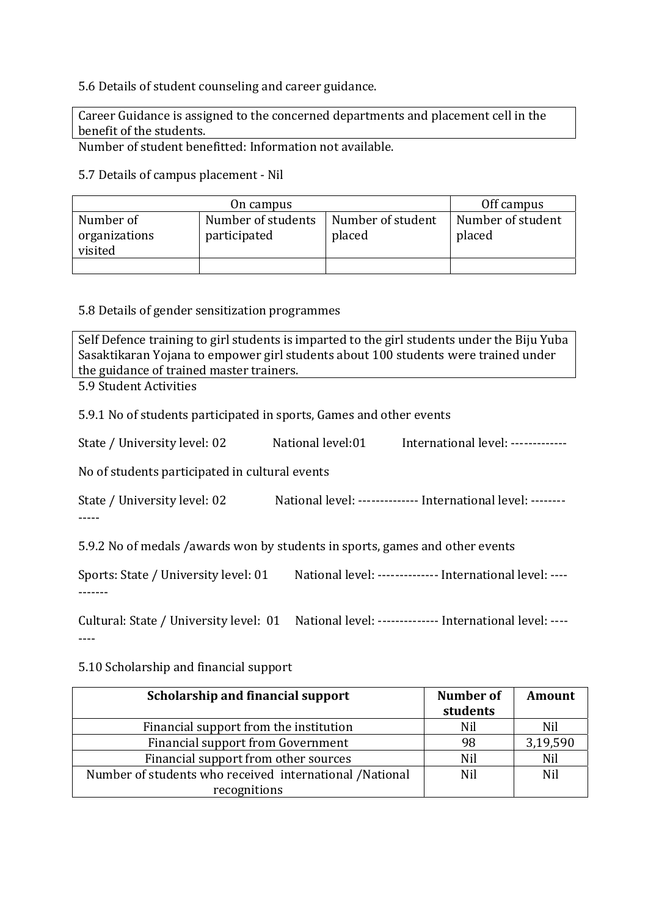#### 5.6 Details of student counseling and career guidance.

Career Guidance is assigned to the concerned departments and placement cell in the benefit of the students.

Number of student benefitted: Information not available.

5.7 Details of campus placement ‐ Nil

|                                                                             | Off campus |                             |                             |
|-----------------------------------------------------------------------------|------------|-----------------------------|-----------------------------|
| Number of<br>Number of students<br>organizations<br>participated<br>visited |            | Number of student<br>placed | Number of student<br>placed |
|                                                                             |            |                             |                             |

#### 5.8 Details of gender sensitization programmes

Self Defence training to girl students is imparted to the girl students under the Biju Yuba Sasaktikaran Yojana to empower girl students about 100 students were trained under the guidance of trained master trainers.

5.9 Student Activities

5.9.1 No of students participated in sports, Games and other events

|  | State / University level: 02 | National level:01 | International level: ------------- |
|--|------------------------------|-------------------|------------------------------------|
|--|------------------------------|-------------------|------------------------------------|

No of students participated in cultural events

State / University level: 02 National level: ‐‐‐‐‐‐‐‐‐‐‐‐‐‐ International level: ‐‐‐‐‐‐‐‐ ‐‐‐‐‐

5.9.2 No of medals /awards won by students in sports, games and other events

Sports: State / University level: 01 National level: ‐‐‐‐‐‐‐‐‐‐‐‐‐‐ International level: ‐‐‐‐ ‐‐‐‐‐‐‐

Cultural: State / University level: 01 National level: -------------- International level: ----‐‐‐‐

#### 5.10 Scholarship and financial support

| Scholarship and financial support                       | Number of<br>students | <b>Amount</b> |
|---------------------------------------------------------|-----------------------|---------------|
| Financial support from the institution                  | Nil                   | Nil           |
| Financial support from Government                       | 98                    | 3,19,590      |
| Financial support from other sources                    | Nil                   | Nil           |
| Number of students who received international /National | Nil                   | Nil           |
| recognitions                                            |                       |               |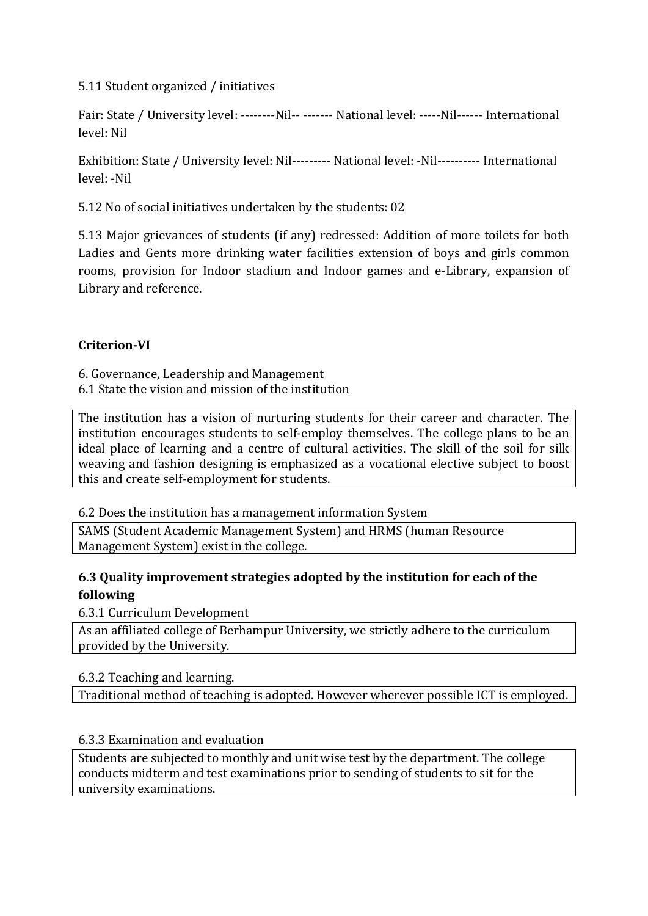5.11 Student organized / initiatives

Fair: State / University level: --------Nil-- ------- National level: -----Nil------ International level: Nil

Exhibition: State / University level: Nil--------- National level: -Nil---------- International level: ‐Nil

5.12 No of social initiatives undertaken by the students: 02

5.13 Major grievances of students (if any) redressed: Addition of more toilets for both Ladies and Gents more drinking water facilities extension of boys and girls common rooms, provision for Indoor stadium and Indoor games and e-Library, expansion of Library and reference.

## **CriterionVI**

6. Governance, Leadership and Management 6.1 State the vision and mission of the institution

The institution has a vision of nurturing students for their career and character. The institution encourages students to self-employ themselves. The college plans to be an ideal place of learning and a centre of cultural activities. The skill of the soil for silk weaving and fashion designing is emphasized as a vocational elective subject to boost this and create self‐employment for students.

6.2 Does the institution has a management information System

SAMS (Student Academic Management System) and HRMS (human Resource Management System) exist in the college.

## **6.3 Quality improvement strategies adopted by the institution for each of the following**

6.3.1 Curriculum Development

As an affiliated college of Berhampur University, we strictly adhere to the curriculum provided by the University.

## 6.3.2 Teaching and learning.

Traditional method of teaching is adopted. However wherever possible ICT is employed.

## 6.3.3 Examination and evaluation

Students are subjected to monthly and unit wise test by the department. The college conducts midterm and test examinations prior to sending of students to sit for the university examinations.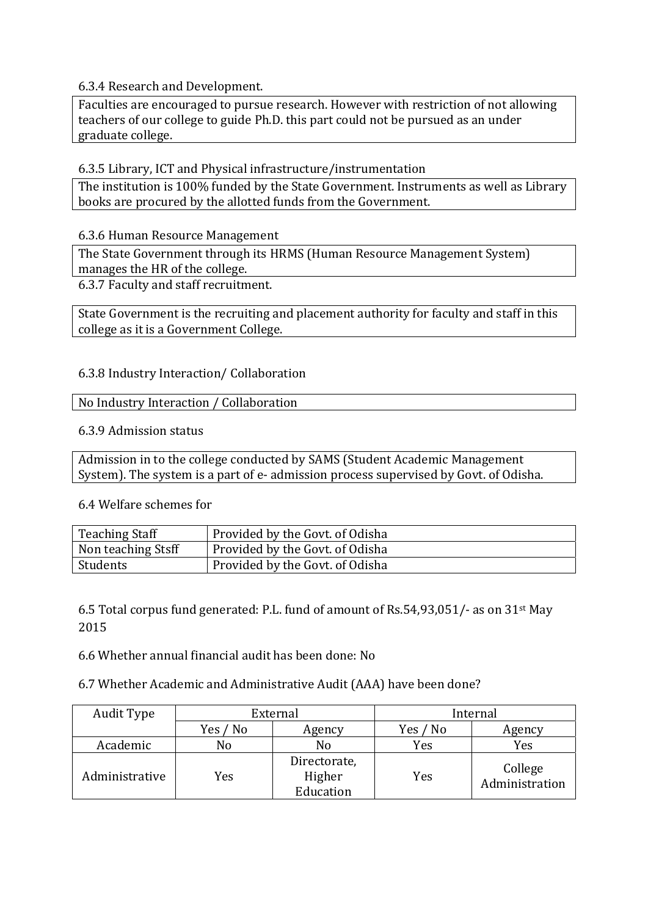6.3.4 Research and Development.

Faculties are encouraged to pursue research. However with restriction of not allowing teachers of our college to guide Ph.D. this part could not be pursued as an under graduate college.

6.3.5 Library, ICT and Physical infrastructure/instrumentation

The institution is 100% funded by the State Government. Instruments as well as Library books are procured by the allotted funds from the Government.

6.3.6 Human Resource Management

The State Government through its HRMS (Human Resource Management System) manages the HR of the college.

6.3.7 Faculty and staff recruitment.

State Government is the recruiting and placement authority for faculty and staff in this college as it is a Government College.

#### 6.3.8 Industry Interaction/ Collaboration

No Industry Interaction / Collaboration

6.3.9 Admission status

Admission in to the college conducted by SAMS (Student Academic Management System). The system is a part of e‐ admission process supervised by Govt. of Odisha.

6.4 Welfare schemes for

| <b>Teaching Staff</b> | Provided by the Govt. of Odisha |
|-----------------------|---------------------------------|
| Non teaching Stsff    | Provided by the Govt. of Odisha |
| Students              | Provided by the Govt. of Odisha |

6.5 Total corpus fund generated: P.L. fund of amount of Rs.54,93,051/‐ as on 31st May 2015

6.6 Whether annual financial audit has been done: No

6.7 Whether Academic and Administrative Audit (AAA) have been done?

| Audit Type     |                    | External                            | Internal |                           |  |
|----------------|--------------------|-------------------------------------|----------|---------------------------|--|
|                | Yes / No<br>Agency |                                     | Yes / No | Agency                    |  |
| Academic       | No                 | No                                  | Yes      | Yes                       |  |
| Administrative | Yes                | Directorate,<br>Higher<br>Education | Yes      | College<br>Administration |  |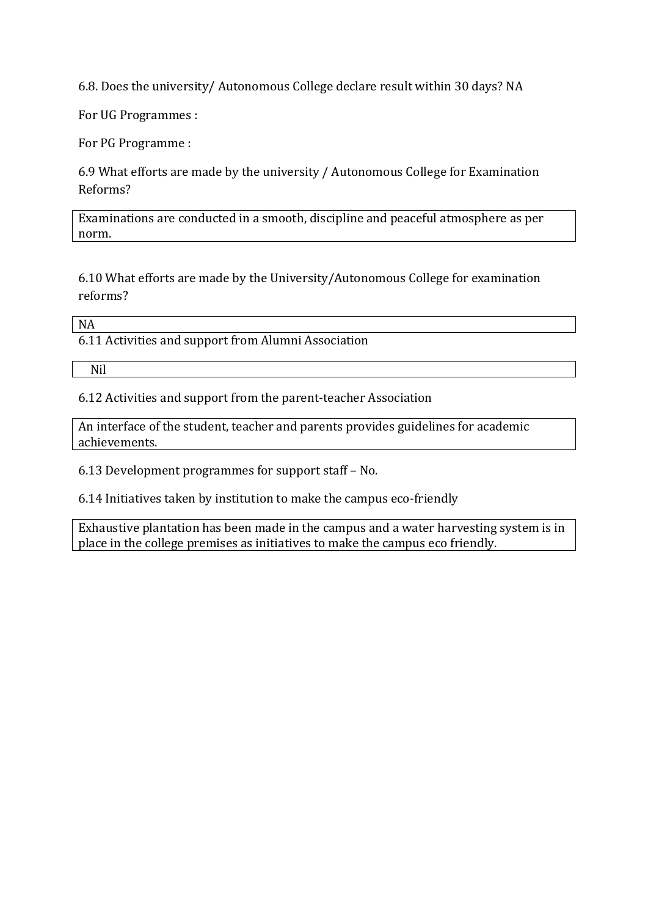6.8. Does the university/ Autonomous College declare result within 30 days? NA

For UG Programmes :

For PG Programme :

6.9 What efforts are made by the university / Autonomous College for Examination Reforms?

Examinations are conducted in a smooth, discipline and peaceful atmosphere as per norm.

6.10 What efforts are made by the University/Autonomous College for examination reforms?

NA

6.11 Activities and support from Alumni Association

Nil

6.12 Activities and support from the parent‐teacher Association

An interface of the student, teacher and parents provides guidelines for academic achievements.

6.13 Development programmes for support staff – No.

6.14 Initiatives taken by institution to make the campus eco‐friendly

Exhaustive plantation has been made in the campus and a water harvesting system is in place in the college premises as initiatives to make the campus eco friendly.